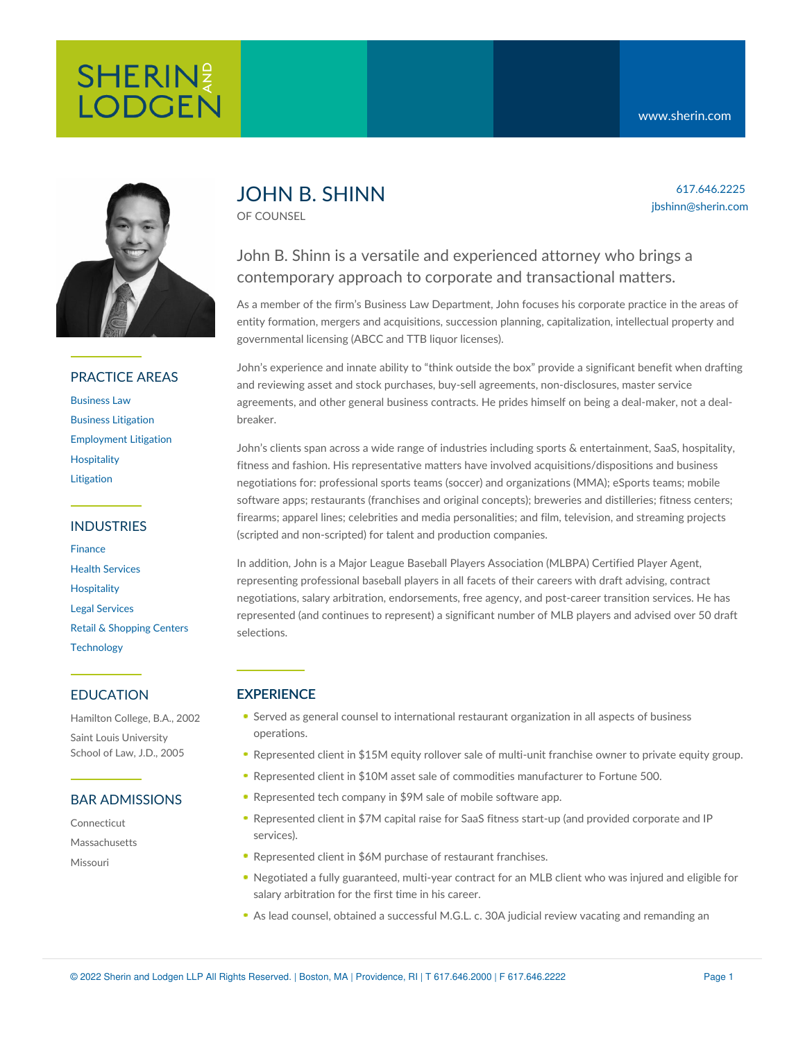617.646.2225 jbshinn@sherin.com



### PRACTICE AREAS

[Business](https://www.sherin.com/practice-areas/business-law/) Law Business [Litigation](https://www.sherin.com/practice-areas/litigation/business-litigation/) [Employment](https://www.sherin.com/practice-areas/litigation/employment-litigation/) Litigation **[Hospitality](https://www.sherin.com/practice-areas/hospitality/)** [Litigation](https://www.sherin.com/practice-areas/litigation/)

### INDUSTRIES

[Finance](https://www.sherin.com/industries/finance/) Health [Services](https://www.sherin.com/industries/health-services/) **[Hospitality](https://www.sherin.com/practice-areas/hospitality/)** Legal [Services](https://www.sherin.com/industries/legal-services/) Retail & [Shopping](https://www.sherin.com/industries/retail-shopping-centers/) Centers **[Technology](https://www.sherin.com/industries/technology/)** 

### EDUCATION

Hamilton College, B.A., 2002 Saint Louis University School of Law, J.D., 2005

### BAR ADMISSIONS

Connecticut

Massachusetts

Missouri

# JOHN B. SHINN

OF COUNSEL

# John B. Shinn is a versatile and experienced attorney who brings a contemporary approach to corporate and transactional matters.

As a member of the firm's Business Law Department, John focuses his corporate practice in the areas of entity formation, mergers and acquisitions, succession planning, capitalization, intellectual property and governmental licensing (ABCC and TTB liquor licenses).

John's experience and innate ability to "think outside the box" provide a significant benefit when drafting and reviewing asset and stock purchases, buy-sell agreements, non-disclosures, master service agreements, and other general business contracts. He prides himself on being a deal-maker, not a dealbreaker.

John's clients span across a wide range of industries including sports & entertainment, SaaS, hospitality, fitness and fashion. His representative matters have involved acquisitions/dispositions and business negotiations for: professional sports teams (soccer) and organizations (MMA); eSports teams; mobile software apps; restaurants (franchises and original concepts); breweries and distilleries; fitness centers; firearms; apparel lines; celebrities and media personalities; and film, television, and streaming projects (scripted and non-scripted) for talent and production companies.

In addition, John is a Major League Baseball Players Association (MLBPA) Certified Player Agent, representing professional baseball players in all facets of their careers with draft advising, contract negotiations, salary arbitration, endorsements, free agency, and post-career transition services. He has represented (and continues to represent) a significant number of MLB players and advised over 50 draft selections.

## **EXPERIENCE**

- Served as general counsel to international restaurant organization in all aspects of business operations.
- Represented client in \$15M equity rollover sale of multi-unit franchise owner to private equity group.
- Represented client in \$10M asset sale of commodities manufacturer to Fortune 500.
- Represented tech company in \$9M sale of mobile software app.
- Represented client in \$7M capital raise for SaaS fitness start-up (and provided corporate and IP services).
- Represented client in \$6M purchase of restaurant franchises.
- Negotiated a fully guaranteed, multi-year contract for an MLB client who was injured and eligible for salary arbitration for the first time in his career.
- As lead counsel, obtained a successful M.G.L. c. 30A judicial review vacating and remanding an